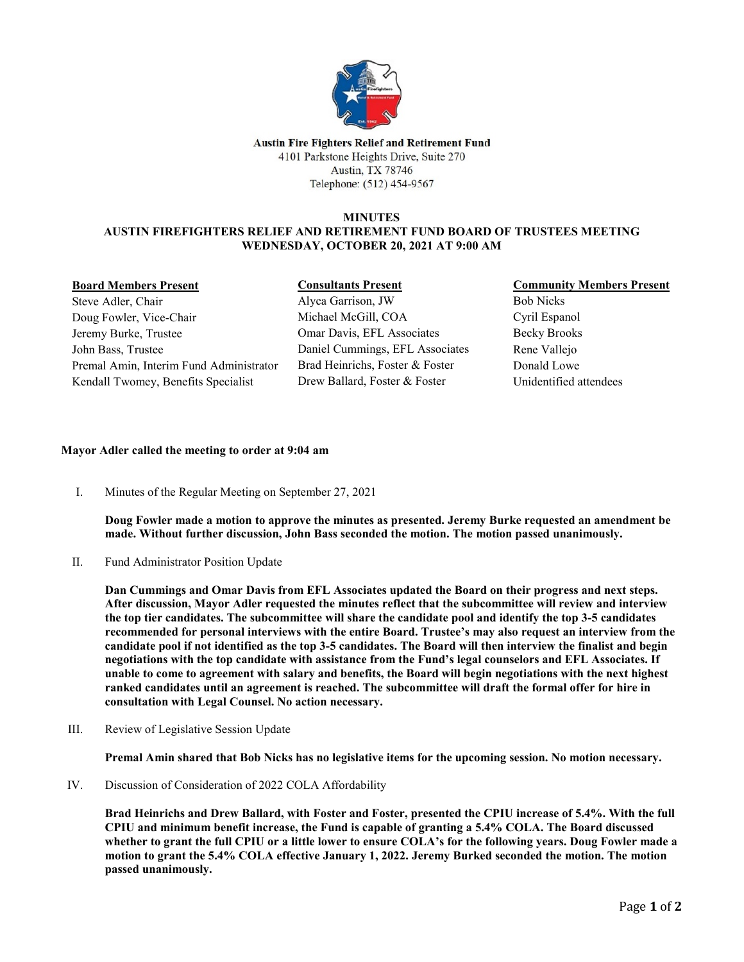

Austin Fire Fighters Relief and Retirement Fund 4101 Parkstone Heights Drive, Suite 270 Austin, TX 78746 Telephone: (512) 454-9567

## **MINUTES AUSTIN FIREFIGHTERS RELIEF AND RETIREMENT FUND BOARD OF TRUSTEES MEETING WEDNESDAY, OCTOBER 20, 2021 AT 9:00 AM**

## **Board Members Present**

Steve Adler, Chair Doug Fowler, Vice-Chair Jeremy Burke, Trustee John Bass, Trustee Premal Amin, Interim Fund Administrator Kendall Twomey, Benefits Specialist

**Consultants Present** Alyca Garrison, JW Michael McGill, COA Omar Davis, EFL Associates Daniel Cummings, EFL Associates Brad Heinrichs, Foster & Foster Drew Ballard, Foster & Foster

# **Community Members Present**

Bob Nicks Cyril Espanol Becky Brooks Rene Vallejo Donald Lowe Unidentified attendees

# **Mayor Adler called the meeting to order at 9:04 am**

I. Minutes of the Regular Meeting on September 27, 2021

**Doug Fowler made a motion to approve the minutes as presented. Jeremy Burke requested an amendment be made. Without further discussion, John Bass seconded the motion. The motion passed unanimously.**

II. Fund Administrator Position Update

**Dan Cummings and Omar Davis from EFL Associates updated the Board on their progress and next steps. After discussion, Mayor Adler requested the minutes reflect that the subcommittee will review and interview the top tier candidates. The subcommittee will share the candidate pool and identify the top 3-5 candidates recommended for personal interviews with the entire Board. Trustee's may also request an interview from the candidate pool if not identified as the top 3-5 candidates. The Board will then interview the finalist and begin negotiations with the top candidate with assistance from the Fund's legal counselors and EFL Associates. If unable to come to agreement with salary and benefits, the Board will begin negotiations with the next highest ranked candidates until an agreement is reached. The subcommittee will draft the formal offer for hire in consultation with Legal Counsel. No action necessary.** 

III. Review of Legislative Session Update

**Premal Amin shared that Bob Nicks has no legislative items for the upcoming session. No motion necessary.** 

IV. Discussion of Consideration of 2022 COLA Affordability

**Brad Heinrichs and Drew Ballard, with Foster and Foster, presented the CPIU increase of 5.4%. With the full CPIU and minimum benefit increase, the Fund is capable of granting a 5.4% COLA. The Board discussed whether to grant the full CPIU or a little lower to ensure COLA's for the following years. Doug Fowler made a motion to grant the 5.4% COLA effective January 1, 2022. Jeremy Burked seconded the motion. The motion passed unanimously.**